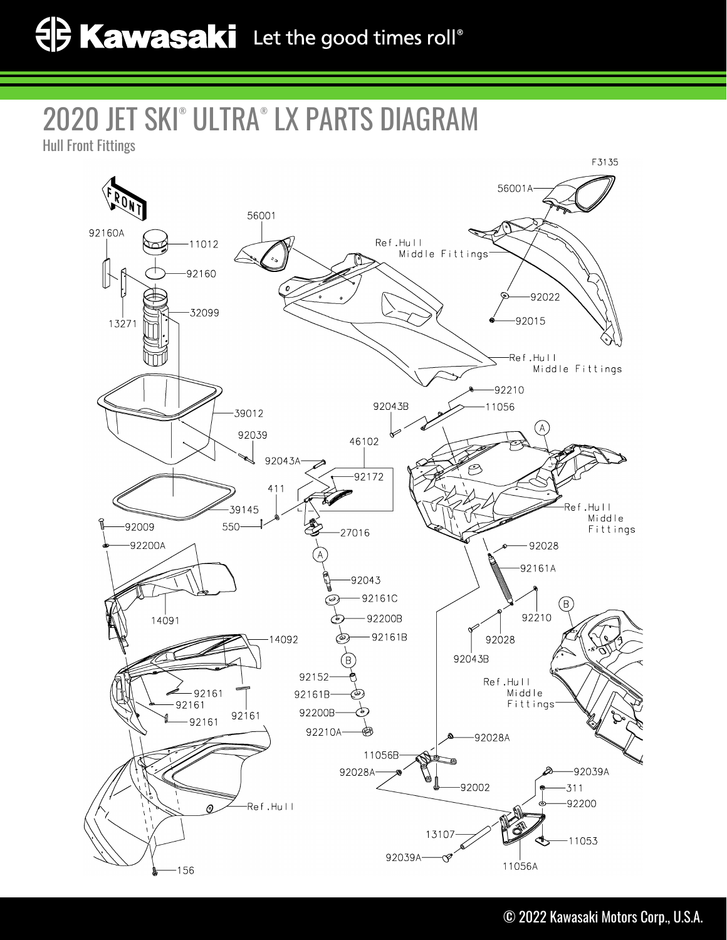## 2020 JET SKI® ULTRA® LX PARTS DIAGRAM

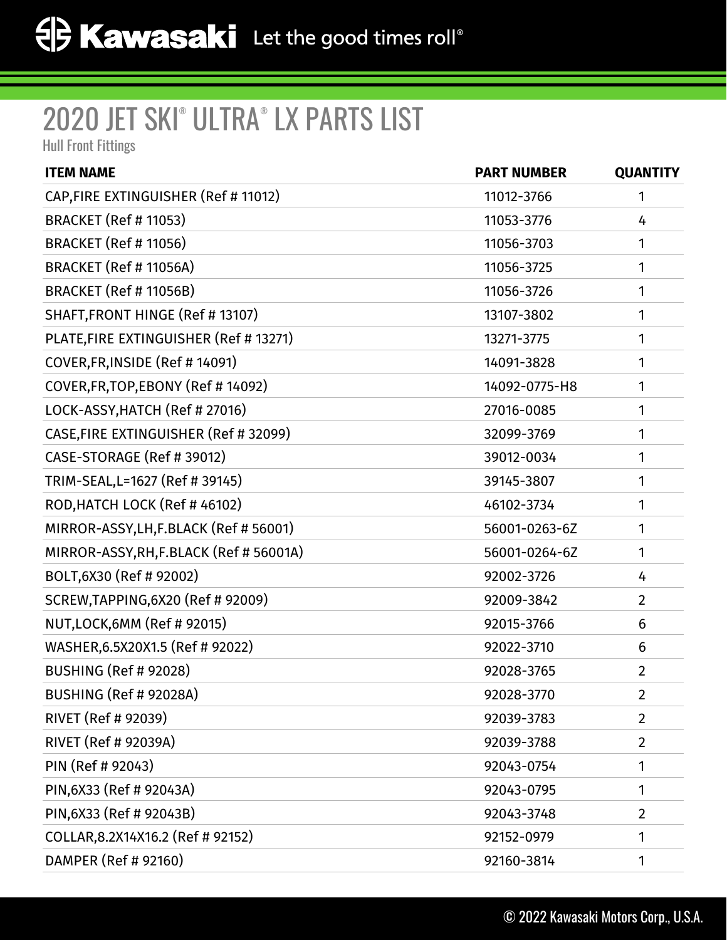## 2020 JET SKI® ULTRA® LX PARTS LIST

Hull Front Fittings

| <b>ITEM NAME</b>                        | <b>PART NUMBER</b> | <b>QUANTITY</b> |
|-----------------------------------------|--------------------|-----------------|
| CAP, FIRE EXTINGUISHER (Ref # 11012)    | 11012-3766         | 1               |
| <b>BRACKET (Ref # 11053)</b>            | 11053-3776         | 4               |
| <b>BRACKET (Ref # 11056)</b>            | 11056-3703         | 1               |
| BRACKET (Ref # 11056A)                  | 11056-3725         | 1               |
| BRACKET (Ref # 11056B)                  | 11056-3726         | 1               |
| SHAFT, FRONT HINGE (Ref #13107)         | 13107-3802         | 1               |
| PLATE, FIRE EXTINGUISHER (Ref # 13271)  | 13271-3775         | 1               |
| COVER, FR, INSIDE (Ref #14091)          | 14091-3828         | 1               |
| COVER, FR, TOP, EBONY (Ref #14092)      | 14092-0775-H8      | 1               |
| LOCK-ASSY, HATCH (Ref # 27016)          | 27016-0085         | 1               |
| CASE, FIRE EXTINGUISHER (Ref # 32099)   | 32099-3769         | 1               |
| CASE-STORAGE (Ref # 39012)              | 39012-0034         | 1               |
| TRIM-SEAL, L=1627 (Ref # 39145)         | 39145-3807         | 1               |
| ROD, HATCH LOCK (Ref #46102)            | 46102-3734         | 1               |
| MIRROR-ASSY, LH, F.BLACK (Ref # 56001)  | 56001-0263-6Z      | 1               |
| MIRROR-ASSY, RH, F.BLACK (Ref # 56001A) | 56001-0264-6Z      | 1               |
| BOLT, 6X30 (Ref # 92002)                | 92002-3726         | 4               |
| SCREW, TAPPING, 6X20 (Ref # 92009)      | 92009-3842         | $\overline{2}$  |
| NUT, LOCK, 6MM (Ref # 92015)            | 92015-3766         | 6               |
| WASHER, 6.5X20X1.5 (Ref # 92022)        | 92022-3710         | 6               |
| <b>BUSHING (Ref # 92028)</b>            | 92028-3765         | $\overline{2}$  |
| BUSHING (Ref # 92028A)                  | 92028-3770         | $\overline{2}$  |
| RIVET (Ref # 92039)                     | 92039-3783         | $\overline{2}$  |
| RIVET (Ref # 92039A)                    | 92039-3788         | $\overline{2}$  |
| PIN (Ref # 92043)                       | 92043-0754         | 1               |
| PIN, 6X33 (Ref # 92043A)                | 92043-0795         | 1               |
| PIN, 6X33 (Ref # 92043B)                | 92043-3748         | $\overline{2}$  |
| COLLAR, 8.2X14X16.2 (Ref # 92152)       | 92152-0979         | 1               |
| DAMPER (Ref # 92160)                    | 92160-3814         | 1               |